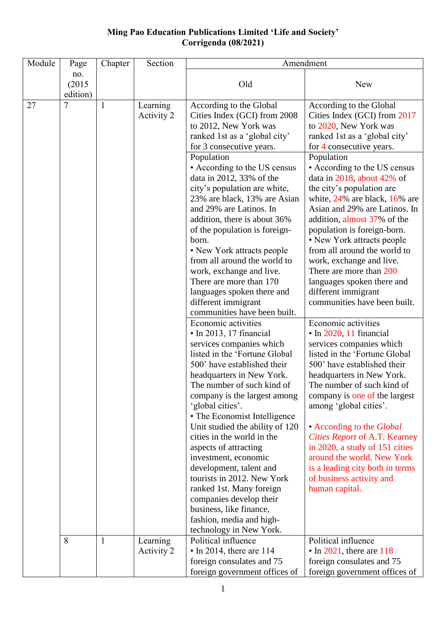## **Ming Pao Education Publications Limited 'Life and Society' Corrigenda (08/2021)**

| Module | Page          | Chapter | Section                | Amendment                                                                                                                                                                                                                                                                                                                                                                                                                                                                                                                                                                                                                                                                                                             |                                                                                                                                                                                                                                                                                                                                                                                                                                                                                                                                                                                                                                                                                                                          |  |
|--------|---------------|---------|------------------------|-----------------------------------------------------------------------------------------------------------------------------------------------------------------------------------------------------------------------------------------------------------------------------------------------------------------------------------------------------------------------------------------------------------------------------------------------------------------------------------------------------------------------------------------------------------------------------------------------------------------------------------------------------------------------------------------------------------------------|--------------------------------------------------------------------------------------------------------------------------------------------------------------------------------------------------------------------------------------------------------------------------------------------------------------------------------------------------------------------------------------------------------------------------------------------------------------------------------------------------------------------------------------------------------------------------------------------------------------------------------------------------------------------------------------------------------------------------|--|
|        | no.<br>(2015) |         |                        | Old                                                                                                                                                                                                                                                                                                                                                                                                                                                                                                                                                                                                                                                                                                                   | <b>New</b>                                                                                                                                                                                                                                                                                                                                                                                                                                                                                                                                                                                                                                                                                                               |  |
| 27     | edition)<br>7 | 1       | Learning<br>Activity 2 | According to the Global<br>Cities Index (GCI) from 2008<br>to 2012, New York was<br>ranked 1st as a 'global city'<br>for 3 consecutive years.<br>Population<br>• According to the US census<br>data in 2012, 33% of the<br>city's population are white,<br>23% are black, 13% are Asian<br>and 29% are Latinos. In<br>addition, there is about 36%<br>of the population is foreign-<br>born.<br>• New York attracts people<br>from all around the world to<br>work, exchange and live.<br>There are more than 170<br>languages spoken there and<br>different immigrant<br>communities have been built.<br>Economic activities<br>· In 2013, 17 financial<br>services companies which<br>listed in the 'Fortune Global | According to the Global<br>Cities Index (GCI) from 2017<br>to 2020, New York was<br>ranked 1st as a 'global city'<br>for 4 consecutive years.<br>Population<br>• According to the US census<br>data in $2018$ , about 42% of<br>the city's population are<br>white, $24\%$ are black, $16\%$ are<br>Asian and 29% are Latinos. In<br>addition, almost 37% of the<br>population is foreign-born.<br>• New York attracts people<br>from all around the world to<br>work, exchange and live.<br>There are more than 200<br>languages spoken there and<br>different immigrant<br>communities have been built.<br>Economic activities<br>• In 2020, 11 financial<br>services companies which<br>listed in the 'Fortune Global |  |
|        | 8             |         | Learning<br>Activity 2 | 500' have established their<br>headquarters in New York.<br>The number of such kind of<br>company is the largest among<br>'global cities'.<br>• The Economist Intelligence<br>Unit studied the ability of 120<br>cities in the world in the<br>aspects of attracting<br>investment, economic<br>development, talent and<br>tourists in 2012. New York<br>ranked 1st. Many foreign<br>companies develop their<br>business, like finance,<br>fashion, media and high-<br>technology in New York.<br>Political influence<br>$\cdot$ In 2014, there are 114                                                                                                                                                               | 500' have established their<br>headquarters in New York.<br>The number of such kind of<br>company is one of the largest<br>among 'global cities'.<br>• According to the <i>Global</i><br>Cities Report of A.T. Kearney<br>in 2020, a study of 151 cities<br>around the world, New York<br>is a leading city both in terms<br>of business activity and<br>human capital.<br>Political influence<br>$\cdot$ In 2021, there are 118                                                                                                                                                                                                                                                                                         |  |
|        |               |         |                        | foreign consulates and 75<br>foreign government offices of                                                                                                                                                                                                                                                                                                                                                                                                                                                                                                                                                                                                                                                            | foreign consulates and 75<br>foreign government offices of                                                                                                                                                                                                                                                                                                                                                                                                                                                                                                                                                                                                                                                               |  |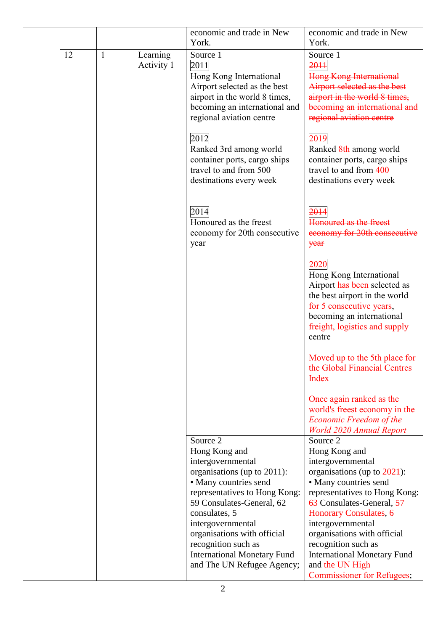|    |              |                        | economic and trade in New<br>York.                                                                                                                                                                                                        | economic and trade in New<br>York.                                                                                                                                                                                                                 |
|----|--------------|------------------------|-------------------------------------------------------------------------------------------------------------------------------------------------------------------------------------------------------------------------------------------|----------------------------------------------------------------------------------------------------------------------------------------------------------------------------------------------------------------------------------------------------|
| 12 | $\mathbf{1}$ | Learning<br>Activity 1 | Source 1<br>2011<br>Hong Kong International<br>Airport selected as the best<br>airport in the world 8 times,<br>becoming an international and<br>regional aviation centre                                                                 | Source 1<br>2011<br><b>Hong Kong International</b><br>Airport selected as the best<br>airport in the world 8 times,<br>becoming an international and<br>regional aviation centre                                                                   |
|    |              |                        | 2012<br>Ranked 3rd among world<br>container ports, cargo ships<br>travel to and from 500<br>destinations every week                                                                                                                       | 2019<br>Ranked 8th among world<br>container ports, cargo ships<br>travel to and from 400<br>destinations every week                                                                                                                                |
|    |              |                        | 2014<br>Honoured as the freest<br>economy for 20th consecutive<br>year                                                                                                                                                                    | 2014<br>Honoured as the freest<br>economy for 20th consecutive<br>year                                                                                                                                                                             |
|    |              |                        |                                                                                                                                                                                                                                           | 2020<br>Hong Kong International<br>Airport has been selected as<br>the best airport in the world<br>for 5 consecutive years,<br>becoming an international<br>freight, logistics and supply<br>centre                                               |
|    |              |                        |                                                                                                                                                                                                                                           | Moved up to the 5th place for<br>the Global Financial Centres<br>Index                                                                                                                                                                             |
|    |              |                        |                                                                                                                                                                                                                                           | Once again ranked as the<br>world's freest economy in the<br>Economic Freedom of the<br><b>World 2020 Annual Report</b>                                                                                                                            |
|    |              |                        | Source 2<br>Hong Kong and<br>intergovernmental<br>organisations (up to 2011):<br>• Many countries send<br>representatives to Hong Kong:<br>59 Consulates-General, 62<br>consulates, 5<br>intergovernmental<br>organisations with official | Source 2<br>Hong Kong and<br>intergovernmental<br>organisations (up to 2021):<br>• Many countries send<br>representatives to Hong Kong:<br>63 Consulates-General, 57<br>Honorary Consulates, 6<br>intergovernmental<br>organisations with official |
|    |              |                        | recognition such as<br><b>International Monetary Fund</b><br>and The UN Refugee Agency;                                                                                                                                                   | recognition such as<br><b>International Monetary Fund</b><br>and the UN High<br><b>Commissioner for Refugees;</b>                                                                                                                                  |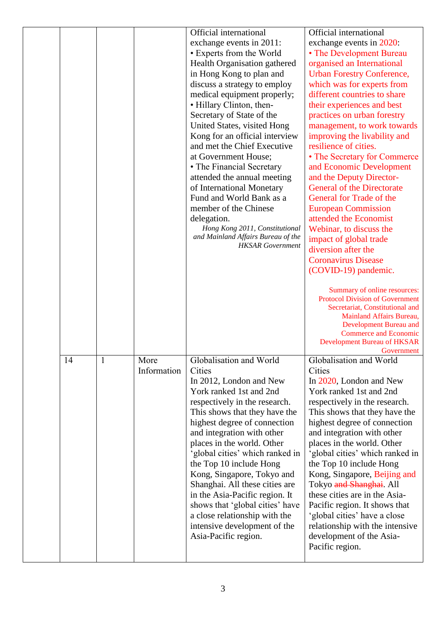|    |             | Official international                                        | Official international                                      |
|----|-------------|---------------------------------------------------------------|-------------------------------------------------------------|
|    |             | exchange events in 2011:                                      | exchange events in 2020:                                    |
|    |             | • Experts from the World                                      | • The Development Bureau                                    |
|    |             | Health Organisation gathered                                  | organised an International                                  |
|    |             | in Hong Kong to plan and                                      | <b>Urban Forestry Conference,</b>                           |
|    |             | discuss a strategy to employ                                  | which was for experts from                                  |
|    |             | medical equipment properly;                                   | different countries to share                                |
|    |             | • Hillary Clinton, then-                                      | their experiences and best                                  |
|    |             | Secretary of State of the                                     | practices on urban forestry                                 |
|    |             |                                                               |                                                             |
|    |             | United States, visited Hong                                   | management, to work towards                                 |
|    |             | Kong for an official interview                                | improving the livability and                                |
|    |             | and met the Chief Executive                                   | resilience of cities.                                       |
|    |             | at Government House;                                          | • The Secretary for Commerce                                |
|    |             | • The Financial Secretary                                     | and Economic Development                                    |
|    |             | attended the annual meeting                                   | and the Deputy Director-                                    |
|    |             | of International Monetary                                     | <b>General of the Directorate</b>                           |
|    |             | Fund and World Bank as a                                      | General for Trade of the                                    |
|    |             | member of the Chinese                                         | <b>European Commission</b>                                  |
|    |             | delegation.                                                   | attended the Economist                                      |
|    |             | Hong Kong 2011, Constitutional                                | Webinar, to discuss the                                     |
|    |             | and Mainland Affairs Bureau of the<br><b>HKSAR</b> Government | impact of global trade                                      |
|    |             |                                                               | diversion after the                                         |
|    |             |                                                               | <b>Coronavirus Disease</b>                                  |
|    |             |                                                               | (COVID-19) pandemic.                                        |
|    |             |                                                               |                                                             |
|    |             |                                                               | Summary of online resources:                                |
|    |             |                                                               | <b>Protocol Division of Government</b>                      |
|    |             |                                                               | Secretariat, Constitutional and<br>Mainland Affairs Bureau, |
|    |             |                                                               | <b>Development Bureau and</b>                               |
|    |             |                                                               | <b>Commerce and Economic</b>                                |
|    |             |                                                               | <b>Development Bureau of HKSAR</b>                          |
|    |             |                                                               | Government                                                  |
| 14 | More        | Globalisation and World                                       | Globalisation and World                                     |
|    | Information | Cities                                                        | Cities                                                      |
|    |             | In 2012, London and New                                       | In 2020, London and New                                     |
|    |             | York ranked 1st and 2nd                                       | York ranked 1st and 2nd                                     |
|    |             | respectively in the research.                                 | respectively in the research.                               |
|    |             | This shows that they have the                                 | This shows that they have the                               |
|    |             | highest degree of connection                                  | highest degree of connection                                |
|    |             | and integration with other                                    | and integration with other                                  |
|    |             | places in the world. Other                                    | places in the world. Other                                  |
|    |             | 'global cities' which ranked in                               | 'global cities' which ranked in                             |
|    |             | the Top 10 include Hong                                       | the Top 10 include Hong                                     |
|    |             | Kong, Singapore, Tokyo and                                    | Kong, Singapore, Beijing and                                |
|    |             | Shanghai. All these cities are                                | Tokyo and Shanghai. All                                     |
|    |             | in the Asia-Pacific region. It                                | these cities are in the Asia-                               |
|    |             | shows that 'global cities' have                               | Pacific region. It shows that                               |
|    |             | a close relationship with the                                 | 'global cities' have a close                                |
|    |             | intensive development of the                                  | relationship with the intensive                             |
|    |             | Asia-Pacific region.                                          | development of the Asia-                                    |
|    |             |                                                               |                                                             |
|    |             |                                                               |                                                             |
|    |             |                                                               | Pacific region.                                             |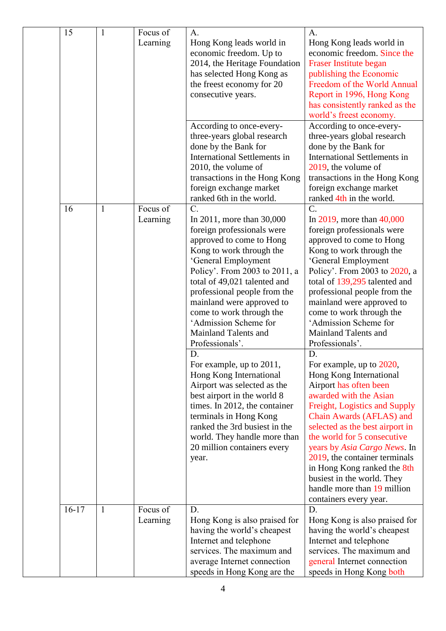|  | 15      | $\mathbf{1}$ | Focus of                                                                                                                                                                                                                                                                                                                                                                                 | A.                                                                                                                                                                                                                                                                                                                                                                                                                                                                                                                                                                                                                                                                                             | A.                                                                                                                                                                                                                                                                                                                                                                                                                                                                                                                                                                                                                                                                                                                                                                                                                                       |
|--|---------|--------------|------------------------------------------------------------------------------------------------------------------------------------------------------------------------------------------------------------------------------------------------------------------------------------------------------------------------------------------------------------------------------------------|------------------------------------------------------------------------------------------------------------------------------------------------------------------------------------------------------------------------------------------------------------------------------------------------------------------------------------------------------------------------------------------------------------------------------------------------------------------------------------------------------------------------------------------------------------------------------------------------------------------------------------------------------------------------------------------------|------------------------------------------------------------------------------------------------------------------------------------------------------------------------------------------------------------------------------------------------------------------------------------------------------------------------------------------------------------------------------------------------------------------------------------------------------------------------------------------------------------------------------------------------------------------------------------------------------------------------------------------------------------------------------------------------------------------------------------------------------------------------------------------------------------------------------------------|
|  |         |              | Learning<br>Hong Kong leads world in<br>economic freedom. Up to<br>has selected Hong Kong as<br>the freest economy for 20<br>consecutive years.<br>According to once-every-<br>three-years global research<br>done by the Bank for<br><b>International Settlements in</b><br>2010, the volume of<br>transactions in the Hong Kong<br>foreign exchange market<br>ranked 6th in the world. | 2014, the Heritage Foundation                                                                                                                                                                                                                                                                                                                                                                                                                                                                                                                                                                                                                                                                  | Hong Kong leads world in<br>economic freedom. Since the<br>Fraser Institute began<br>publishing the Economic<br>Freedom of the World Annual<br>Report in 1996, Hong Kong<br>has consistently ranked as the<br>world's freest economy.                                                                                                                                                                                                                                                                                                                                                                                                                                                                                                                                                                                                    |
|  |         |              |                                                                                                                                                                                                                                                                                                                                                                                          | According to once-every-<br>three-years global research<br>done by the Bank for<br><b>International Settlements in</b><br>2019, the volume of<br>transactions in the Hong Kong<br>foreign exchange market<br>ranked 4th in the world.                                                                                                                                                                                                                                                                                                                                                                                                                                                          |                                                                                                                                                                                                                                                                                                                                                                                                                                                                                                                                                                                                                                                                                                                                                                                                                                          |
|  | 16      | $\mathbf{1}$ | Focus of<br>Learning                                                                                                                                                                                                                                                                                                                                                                     | $\overline{C}$ .<br>In 2011, more than 30,000<br>foreign professionals were<br>approved to come to Hong<br>Kong to work through the<br>'General Employment<br>Policy'. From 2003 to 2011, a<br>total of 49,021 talented and<br>professional people from the<br>mainland were approved to<br>come to work through the<br>'Admission Scheme for<br><b>Mainland Talents and</b><br>Professionals'.<br>D.<br>For example, up to 2011,<br>Hong Kong International<br>Airport was selected as the<br>best airport in the world 8<br>times. In 2012, the container<br>terminals in Hong Kong<br>ranked the 3rd busiest in the<br>world. They handle more than<br>20 million containers every<br>year. | $\mathcal{C}$ .<br>In 2019, more than $40,000$<br>foreign professionals were<br>approved to come to Hong<br>Kong to work through the<br>'General Employment<br>Policy'. From 2003 to 2020, a<br>total of 139,295 talented and<br>professional people from the<br>mainland were approved to<br>come to work through the<br>'Admission Scheme for<br><b>Mainland Talents and</b><br>Professionals'.<br>D.<br>For example, up to 2020,<br>Hong Kong International<br>Airport has often been<br>awarded with the Asian<br>Freight, Logistics and Supply<br>Chain Awards (AFLAS) and<br>selected as the best airport in<br>the world for 5 consecutive<br>years by Asia Cargo News. In<br>2019, the container terminals<br>in Hong Kong ranked the 8th<br>busiest in the world. They<br>handle more than 19 million<br>containers every year. |
|  | $16-17$ | $\mathbf{1}$ | Focus of<br>Learning                                                                                                                                                                                                                                                                                                                                                                     | D.<br>Hong Kong is also praised for<br>having the world's cheapest<br>Internet and telephone<br>services. The maximum and<br>average Internet connection                                                                                                                                                                                                                                                                                                                                                                                                                                                                                                                                       | D.<br>Hong Kong is also praised for<br>having the world's cheapest<br>Internet and telephone<br>services. The maximum and<br>general Internet connection                                                                                                                                                                                                                                                                                                                                                                                                                                                                                                                                                                                                                                                                                 |
|  |         |              |                                                                                                                                                                                                                                                                                                                                                                                          | speeds in Hong Kong are the                                                                                                                                                                                                                                                                                                                                                                                                                                                                                                                                                                                                                                                                    | speeds in Hong Kong both                                                                                                                                                                                                                                                                                                                                                                                                                                                                                                                                                                                                                                                                                                                                                                                                                 |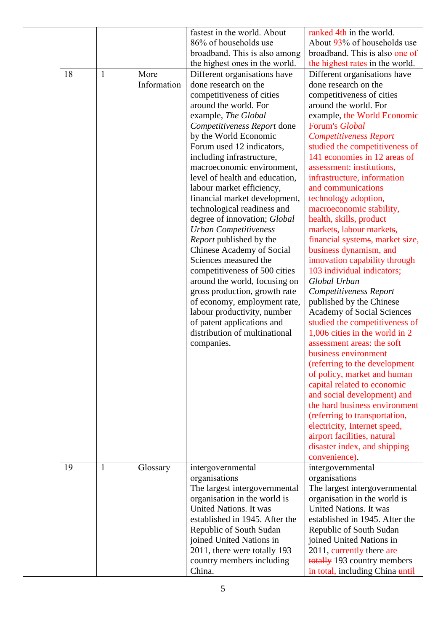|    |              |             | fastest in the world. About      | ranked 4th in the world.          |
|----|--------------|-------------|----------------------------------|-----------------------------------|
|    |              |             | 86% of households use            | About 93% of households use       |
|    |              |             | broadband. This is also among    | broadband. This is also one of    |
|    |              |             | the highest ones in the world.   | the highest rates in the world.   |
| 18 | $\mathbf{1}$ | More        | Different organisations have     | Different organisations have      |
|    |              | Information | done research on the             | done research on the              |
|    |              |             | competitiveness of cities        | competitiveness of cities         |
|    |              |             | around the world. For            | around the world. For             |
|    |              |             | example, The Global              | example, the World Economic       |
|    |              |             | Competitiveness Report done      | Forum's Global                    |
|    |              |             | by the World Economic            | <b>Competitiveness Report</b>     |
|    |              |             | Forum used 12 indicators,        | studied the competitiveness of    |
|    |              |             | including infrastructure,        | 141 economies in 12 areas of      |
|    |              |             | macroeconomic environment,       | assessment: institutions,         |
|    |              |             | level of health and education,   | infrastructure, information       |
|    |              |             | labour market efficiency,        | and communications                |
|    |              |             | financial market development,    | technology adoption,              |
|    |              |             | technological readiness and      | macroeconomic stability,          |
|    |              |             | degree of innovation; Global     | health, skills, product           |
|    |              |             | <b>Urban Competitiveness</b>     | markets, labour markets,          |
|    |              |             | Report published by the          | financial systems, market size,   |
|    |              |             | <b>Chinese Academy of Social</b> | business dynamism, and            |
|    |              |             | Sciences measured the            | innovation capability through     |
|    |              |             | competitiveness of 500 cities    | 103 individual indicators;        |
|    |              |             |                                  | Global Urban                      |
|    |              |             | around the world, focusing on    |                                   |
|    |              |             | gross production, growth rate    | Competitiveness Report            |
|    |              |             | of economy, employment rate,     | published by the Chinese          |
|    |              |             | labour productivity, number      | <b>Academy of Social Sciences</b> |
|    |              |             | of patent applications and       | studied the competitiveness of    |
|    |              |             | distribution of multinational    | 1,006 cities in the world in 2    |
|    |              |             | companies.                       | assessment areas: the soft        |
|    |              |             |                                  | business environment              |
|    |              |             |                                  | (referring to the development     |
|    |              |             |                                  | of policy, market and human       |
|    |              |             |                                  | capital related to economic       |
|    |              |             |                                  | and social development) and       |
|    |              |             |                                  | the hard business environment     |
|    |              |             |                                  | (referring to transportation,     |
|    |              |             |                                  | electricity, Internet speed,      |
|    |              |             |                                  | airport facilities, natural       |
|    |              |             |                                  | disaster index, and shipping      |
|    |              |             |                                  | convenience).                     |
| 19 | $\mathbf{1}$ | Glossary    | intergovernmental                | intergovernmental                 |
|    |              |             | organisations                    | organisations                     |
|    |              |             | The largest intergovernmental    | The largest intergovernmental     |
|    |              |             | organisation in the world is     | organisation in the world is      |
|    |              |             | United Nations. It was           | United Nations. It was            |
|    |              |             | established in 1945. After the   | established in 1945. After the    |
|    |              |             | Republic of South Sudan          | Republic of South Sudan           |
|    |              |             | joined United Nations in         | joined United Nations in          |
|    |              |             | 2011, there were totally 193     | 2011, currently there are         |
|    |              |             | country members including        | totally 193 country members       |
|    |              |             | China.                           | in total, including China-until   |
|    |              |             |                                  |                                   |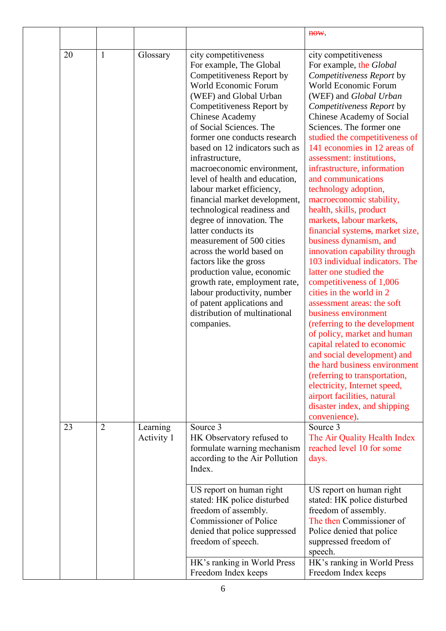|    |                |                        |                                                                                                                                                                                                                                                                                                                                                                                                                                                                                                                                                                                                                                                                                                                                                                                       | H <sub>0</sub>                                                                                                                                                                                                                                                                                                                                                                                                                                                                                                                                                                                                                                                                                                                                                                                                                                                                                                                                                                                                                                                    |
|----|----------------|------------------------|---------------------------------------------------------------------------------------------------------------------------------------------------------------------------------------------------------------------------------------------------------------------------------------------------------------------------------------------------------------------------------------------------------------------------------------------------------------------------------------------------------------------------------------------------------------------------------------------------------------------------------------------------------------------------------------------------------------------------------------------------------------------------------------|-------------------------------------------------------------------------------------------------------------------------------------------------------------------------------------------------------------------------------------------------------------------------------------------------------------------------------------------------------------------------------------------------------------------------------------------------------------------------------------------------------------------------------------------------------------------------------------------------------------------------------------------------------------------------------------------------------------------------------------------------------------------------------------------------------------------------------------------------------------------------------------------------------------------------------------------------------------------------------------------------------------------------------------------------------------------|
| 20 | $\mathbf{1}$   | Glossary               | city competitiveness<br>For example, The Global<br>Competitiveness Report by<br>World Economic Forum<br>(WEF) and Global Urban<br>Competitiveness Report by<br><b>Chinese Academy</b><br>of Social Sciences. The<br>former one conducts research<br>based on 12 indicators such as<br>infrastructure,<br>macroeconomic environment,<br>level of health and education,<br>labour market efficiency,<br>financial market development,<br>technological readiness and<br>degree of innovation. The<br>latter conducts its<br>measurement of 500 cities<br>across the world based on<br>factors like the gross<br>production value, economic<br>growth rate, employment rate,<br>labour productivity, number<br>of patent applications and<br>distribution of multinational<br>companies. | city competitiveness<br>For example, the Global<br>Competitiveness Report by<br>World Economic Forum<br>(WEF) and Global Urban<br>Competitiveness Report by<br><b>Chinese Academy of Social</b><br>Sciences. The former one<br>studied the competitiveness of<br>141 economies in 12 areas of<br>assessment: institutions,<br>infrastructure, information<br>and communications<br>technology adoption,<br>macroeconomic stability,<br>health, skills, product<br>markets, labour markets,<br>financial systems, market size,<br>business dynamism, and<br>innovation capability through<br>103 individual indicators. The<br>latter one studied the<br>competitiveness of 1,006<br>cities in the world in 2<br>assessment areas: the soft<br>business environment<br>(referring to the development<br>of policy, market and human<br>capital related to economic<br>and social development) and<br>the hard business environment<br>(referring to transportation,<br>electricity, Internet speed,<br>airport facilities, natural<br>disaster index, and shipping |
| 23 | $\overline{2}$ | Learning<br>Activity 1 | Source 3<br>HK Observatory refused to<br>formulate warning mechanism<br>according to the Air Pollution<br>Index.                                                                                                                                                                                                                                                                                                                                                                                                                                                                                                                                                                                                                                                                      | convenience).<br>Source 3<br>The Air Quality Health Index<br>reached level 10 for some<br>days.                                                                                                                                                                                                                                                                                                                                                                                                                                                                                                                                                                                                                                                                                                                                                                                                                                                                                                                                                                   |
|    |                |                        | US report on human right<br>stated: HK police disturbed<br>freedom of assembly.<br><b>Commissioner of Police</b><br>denied that police suppressed<br>freedom of speech.                                                                                                                                                                                                                                                                                                                                                                                                                                                                                                                                                                                                               | US report on human right<br>stated: HK police disturbed<br>freedom of assembly.<br>The then Commissioner of<br>Police denied that police<br>suppressed freedom of<br>speech.                                                                                                                                                                                                                                                                                                                                                                                                                                                                                                                                                                                                                                                                                                                                                                                                                                                                                      |
|    |                |                        | HK's ranking in World Press<br>Freedom Index keeps                                                                                                                                                                                                                                                                                                                                                                                                                                                                                                                                                                                                                                                                                                                                    | HK's ranking in World Press<br>Freedom Index keeps                                                                                                                                                                                                                                                                                                                                                                                                                                                                                                                                                                                                                                                                                                                                                                                                                                                                                                                                                                                                                |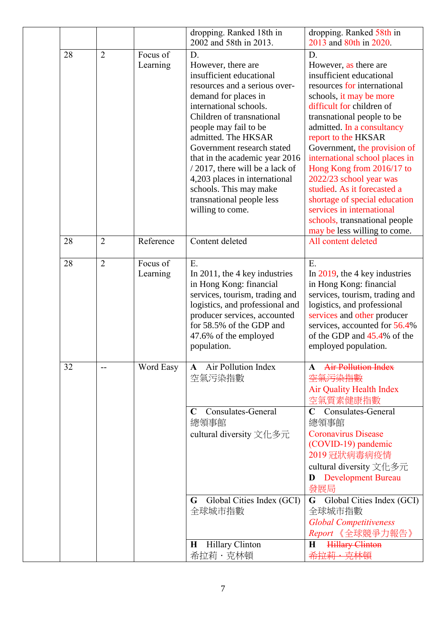|    |                |                      | dropping. Ranked 18th in                                                                                                                                                                                                                                                                                                                                                                                                                                        | dropping. Ranked 58th in                                                                                                                                                                                                                                                                                                                                                                                                                                                                                            |
|----|----------------|----------------------|-----------------------------------------------------------------------------------------------------------------------------------------------------------------------------------------------------------------------------------------------------------------------------------------------------------------------------------------------------------------------------------------------------------------------------------------------------------------|---------------------------------------------------------------------------------------------------------------------------------------------------------------------------------------------------------------------------------------------------------------------------------------------------------------------------------------------------------------------------------------------------------------------------------------------------------------------------------------------------------------------|
|    |                |                      |                                                                                                                                                                                                                                                                                                                                                                                                                                                                 |                                                                                                                                                                                                                                                                                                                                                                                                                                                                                                                     |
| 28 | $\overline{2}$ | Focus of<br>Learning | 2002 and 58th in 2013.<br>D.<br>However, there are<br>insufficient educational<br>resources and a serious over-<br>demand for places in<br>international schools.<br>Children of transnational<br>people may fail to be<br>admitted. The HKSAR<br>Government research stated<br>that in the academic year 2016<br>$/$ 2017, there will be a lack of<br>4,203 places in international<br>schools. This may make<br>transnational people less<br>willing to come. | 2013 and 80th in 2020.<br>D.<br>However, as there are<br>insufficient educational<br>resources for international<br>schools, it may be more<br>difficult for children of<br>transnational people to be<br>admitted. In a consultancy<br>report to the HKSAR<br>Government, the provision of<br>international school places in<br>Hong Kong from 2016/17 to<br>2022/23 school year was<br>studied. As it forecasted a<br>shortage of special education<br>services in international<br>schools, transnational people |
|    |                |                      |                                                                                                                                                                                                                                                                                                                                                                                                                                                                 | may be less willing to come.                                                                                                                                                                                                                                                                                                                                                                                                                                                                                        |
| 28 | $\overline{2}$ | Reference            | Content deleted                                                                                                                                                                                                                                                                                                                                                                                                                                                 | All content deleted                                                                                                                                                                                                                                                                                                                                                                                                                                                                                                 |
| 28 | $\overline{2}$ | Focus of<br>Learning | E.<br>In 2011, the 4 key industries<br>in Hong Kong: financial<br>services, tourism, trading and<br>logistics, and professional and<br>producer services, accounted<br>for 58.5% of the GDP and<br>47.6% of the employed<br>population.                                                                                                                                                                                                                         | E.<br>In $2019$ , the 4 key industries<br>in Hong Kong: financial<br>services, tourism, trading and<br>logistics, and professional<br>services and other producer<br>services, accounted for 56.4%<br>of the GDP and 45.4% of the<br>employed population.                                                                                                                                                                                                                                                           |
| 32 |                | Word Easy            | Air Pollution Index<br>A<br>空氣污染指數<br>Consulates-General<br>$\mathbf C$<br>總領事館<br>cultural diversity 文化多元<br>Global Cities Index (GCI)<br>G<br>全球城市指數                                                                                                                                                                                                                                                                                                          | <b>Air Pollution Index</b><br><del>空氣污染指數</del><br><b>Air Quality Health Index</b><br>空氣質素健康指數<br>Consulates-General<br>總領事館<br><b>Coronavirus Disease</b><br>(COVID-19) pandemic<br>2019冠狀病毒病疫情<br>cultural diversity 文化多元<br><b>Development Bureau</b><br>D<br>發展局<br>G Global Cities Index (GCI)<br>全球城市指數<br><b>Global Competitiveness</b><br>Report 《全球競爭力報告》                                                                                                                                                  |
|    |                |                      | Hillary Clinton<br>$\bf H$<br>希拉莉・克林頓                                                                                                                                                                                                                                                                                                                                                                                                                           | <b>Hillary Clinton</b><br>$\bf H$<br>尭林頓<br>希拉莉                                                                                                                                                                                                                                                                                                                                                                                                                                                                     |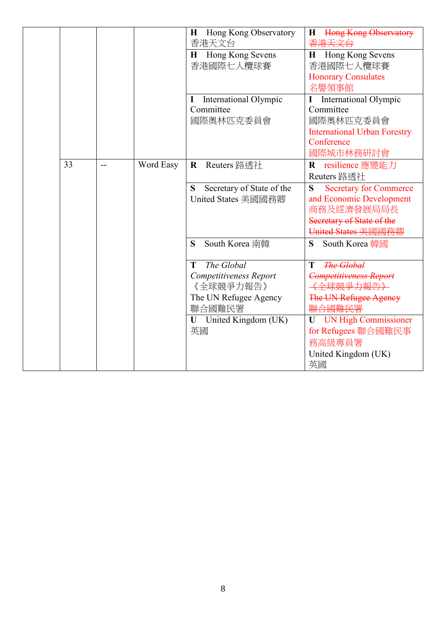|    |     |           | Hong Kong Observatory<br>$\bf H$<br>香港天文台                   | <b>Hong Kong Observatory</b><br>H<br><del>香港天文台</del>                                                     |
|----|-----|-----------|-------------------------------------------------------------|-----------------------------------------------------------------------------------------------------------|
|    |     |           | Hong Kong Sevens<br>Н<br>香港國際七人欖球賽                          | Hong Kong Sevens<br>H<br>香港國際七人欖球賽                                                                        |
|    |     |           |                                                             | <b>Honorary Consulates</b><br>名譽領事館                                                                       |
|    |     |           | <b>International Olympic</b><br>I<br>Committee<br>國際奧林匹克委員會 | <b>International Olympic</b><br>I<br>Committee<br>國際奧林匹克委員會<br><b>International Urban Forestry</b>        |
|    |     |           |                                                             | Conference<br>國際城市林務研討會                                                                                   |
| 33 | $-$ | Word Easy | Reuters 路透社<br>$\mathbf R$                                  | resilience 應變能力<br>R<br>Reuters 路透社                                                                       |
|    |     |           | Secretary of State of the<br>S<br>United States 美國國務卿       | <b>Secretary for Commerce</b><br>S<br>and Economic Development<br>商務及經濟發展局局長<br>Secretary of State of the |
|    |     |           |                                                             | United States 美國國務卿                                                                                       |
|    |     |           | South Korea 南韓<br>S                                         | South Korea 韓國<br>S                                                                                       |
|    |     |           | The Global<br>T                                             | <b>The Global</b><br>T                                                                                    |
|    |     |           | Competitiveness Report<br>《全球競爭力報告》                         | <b>Competitiveness Report</b><br>全球競爭力報告》                                                                 |
|    |     |           | The UN Refugee Agency<br>聯合國難民署                             | The UN Refugee Agency                                                                                     |
|    |     |           | <b>U</b> United Kingdom (UK)<br>英國                          | UN High Commissioner<br>for Refugees 聯合國難民事                                                               |
|    |     |           |                                                             | 務高級專員署                                                                                                    |
|    |     |           |                                                             | United Kingdom (UK)<br>英國                                                                                 |